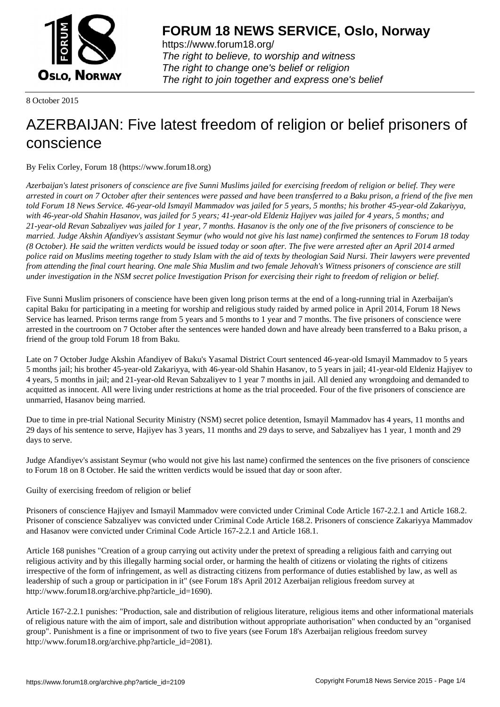

https://www.forum18.org/ The right to believe, to worship and witness The right to change one's belief or religion [The right to join together a](https://www.forum18.org/)nd express one's belief

8 October 2015

## [AZERBAIJAN: F](https://www.forum18.org)ive latest freedom of religion or belief prisoners of conscience

By Felix Corley, Forum 18 (https://www.forum18.org)

*Azerbaijan's latest prisoners of conscience are five Sunni Muslims jailed for exercising freedom of religion or belief. They were arrested in court on 7 October after their sentences were passed and have been transferred to a Baku prison, a friend of the five men told Forum 18 News Service. 46-year-old Ismayil Mammadov was jailed for 5 years, 5 months; his brother 45-year-old Zakariyya, with 46-year-old Shahin Hasanov, was jailed for 5 years; 41-year-old Eldeniz Hajiyev was jailed for 4 years, 5 months; and 21-year-old Revan Sabzaliyev was jailed for 1 year, 7 months. Hasanov is the only one of the five prisoners of conscience to be married. Judge Akshin Afandiyev's assistant Seymur (who would not give his last name) confirmed the sentences to Forum 18 today (8 October). He said the written verdicts would be issued today or soon after. The five were arrested after an April 2014 armed police raid on Muslims meeting together to study Islam with the aid of texts by theologian Said Nursi. Their lawyers were prevented from attending the final court hearing. One male Shia Muslim and two female Jehovah's Witness prisoners of conscience are still under investigation in the NSM secret police Investigation Prison for exercising their right to freedom of religion or belief.*

Five Sunni Muslim prisoners of conscience have been given long prison terms at the end of a long-running trial in Azerbaijan's capital Baku for participating in a meeting for worship and religious study raided by armed police in April 2014, Forum 18 News Service has learned. Prison terms range from 5 years and 5 months to 1 year and 7 months. The five prisoners of conscience were arrested in the courtroom on 7 October after the sentences were handed down and have already been transferred to a Baku prison, a friend of the group told Forum 18 from Baku.

Late on 7 October Judge Akshin Afandiyev of Baku's Yasamal District Court sentenced 46-year-old Ismayil Mammadov to 5 years 5 months jail; his brother 45-year-old Zakariyya, with 46-year-old Shahin Hasanov, to 5 years in jail; 41-year-old Eldeniz Hajiyev to 4 years, 5 months in jail; and 21-year-old Revan Sabzaliyev to 1 year 7 months in jail. All denied any wrongdoing and demanded to acquitted as innocent. All were living under restrictions at home as the trial proceeded. Four of the five prisoners of conscience are unmarried, Hasanov being married.

Due to time in pre-trial National Security Ministry (NSM) secret police detention, Ismayil Mammadov has 4 years, 11 months and 29 days of his sentence to serve, Hajiyev has 3 years, 11 months and 29 days to serve, and Sabzaliyev has 1 year, 1 month and 29 days to serve.

Judge Afandiyev's assistant Seymur (who would not give his last name) confirmed the sentences on the five prisoners of conscience to Forum 18 on 8 October. He said the written verdicts would be issued that day or soon after.

Guilty of exercising freedom of religion or belief

Prisoners of conscience Hajiyev and Ismayil Mammadov were convicted under Criminal Code Article 167-2.2.1 and Article 168.2. Prisoner of conscience Sabzaliyev was convicted under Criminal Code Article 168.2. Prisoners of conscience Zakariyya Mammadov and Hasanov were convicted under Criminal Code Article 167-2.2.1 and Article 168.1.

Article 168 punishes "Creation of a group carrying out activity under the pretext of spreading a religious faith and carrying out religious activity and by this illegally harming social order, or harming the health of citizens or violating the rights of citizens irrespective of the form of infringement, as well as distracting citizens from performance of duties established by law, as well as leadership of such a group or participation in it" (see Forum 18's April 2012 Azerbaijan religious freedom survey at http://www.forum18.org/archive.php?article\_id=1690).

Article 167-2.2.1 punishes: "Production, sale and distribution of religious literature, religious items and other informational materials of religious nature with the aim of import, sale and distribution without appropriate authorisation" when conducted by an "organised group". Punishment is a fine or imprisonment of two to five years (see Forum 18's Azerbaijan religious freedom survey http://www.forum18.org/archive.php?article\_id=2081).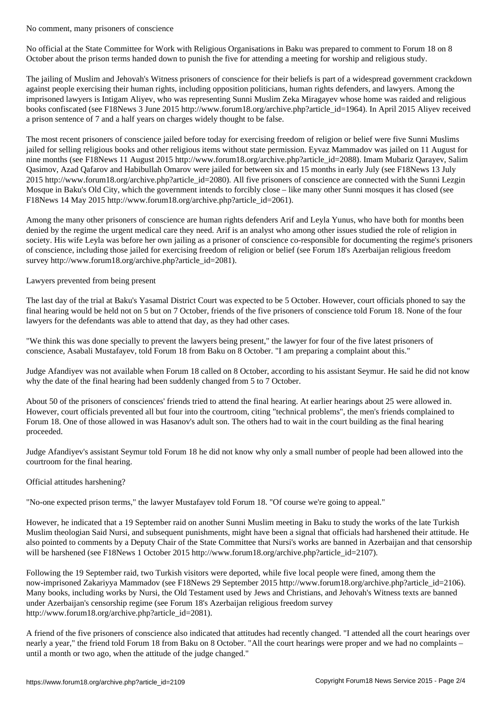No official at the State Committee for Work with Religious Organisations in Baku was prepared to comment to Forum 18 on 8 October about the prison terms handed down to punish the five for attending a meeting for worship and religious study.

The jailing of Muslim and Jehovah's Witness prisoners of conscience for their beliefs is part of a widespread government crackdown against people exercising their human rights, including opposition politicians, human rights defenders, and lawyers. Among the imprisoned lawyers is Intigam Aliyev, who was representing Sunni Muslim Zeka Miragayev whose home was raided and religious books confiscated (see F18News 3 June 2015 http://www.forum18.org/archive.php?article\_id=1964). In April 2015 Aliyev received a prison sentence of 7 and a half years on charges widely thought to be false.

The most recent prisoners of conscience jailed before today for exercising freedom of religion or belief were five Sunni Muslims jailed for selling religious books and other religious items without state permission. Eyvaz Mammadov was jailed on 11 August for nine months (see F18News 11 August 2015 http://www.forum18.org/archive.php?article\_id=2088). Imam Mubariz Qarayev, Salim Qasimov, Azad Qafarov and Habibullah Omarov were jailed for between six and 15 months in early July (see F18News 13 July 2015 http://www.forum18.org/archive.php?article\_id=2080). All five prisoners of conscience are connected with the Sunni Lezgin Mosque in Baku's Old City, which the government intends to forcibly close – like many other Sunni mosques it has closed (see F18News 14 May 2015 http://www.forum18.org/archive.php?article\_id=2061).

Among the many other prisoners of conscience are human rights defenders Arif and Leyla Yunus, who have both for months been denied by the regime the urgent medical care they need. Arif is an analyst who among other issues studied the role of religion in society. His wife Leyla was before her own jailing as a prisoner of conscience co-responsible for documenting the regime's prisoners of conscience, including those jailed for exercising freedom of religion or belief (see Forum 18's Azerbaijan religious freedom survey http://www.forum18.org/archive.php?article\_id=2081).

## Lawyers prevented from being present

The last day of the trial at Baku's Yasamal District Court was expected to be 5 October. However, court officials phoned to say the final hearing would be held not on 5 but on 7 October, friends of the five prisoners of conscience told Forum 18. None of the four lawyers for the defendants was able to attend that day, as they had other cases.

"We think this was done specially to prevent the lawyers being present," the lawyer for four of the five latest prisoners of conscience, Asabali Mustafayev, told Forum 18 from Baku on 8 October. "I am preparing a complaint about this."

Judge Afandiyev was not available when Forum 18 called on 8 October, according to his assistant Seymur. He said he did not know why the date of the final hearing had been suddenly changed from 5 to 7 October.

About 50 of the prisoners of consciences' friends tried to attend the final hearing. At earlier hearings about 25 were allowed in. However, court officials prevented all but four into the courtroom, citing "technical problems", the men's friends complained to Forum 18. One of those allowed in was Hasanov's adult son. The others had to wait in the court building as the final hearing proceeded.

Judge Afandiyev's assistant Seymur told Forum 18 he did not know why only a small number of people had been allowed into the courtroom for the final hearing.

## Official attitudes harshening?

"No-one expected prison terms," the lawyer Mustafayev told Forum 18. "Of course we're going to appeal."

However, he indicated that a 19 September raid on another Sunni Muslim meeting in Baku to study the works of the late Turkish Muslim theologian Said Nursi, and subsequent punishments, might have been a signal that officials had harshened their attitude. He also pointed to comments by a Deputy Chair of the State Committee that Nursi's works are banned in Azerbaijan and that censorship will be harshened (see F18News 1 October 2015 http://www.forum18.org/archive.php?article\_id=2107).

Following the 19 September raid, two Turkish visitors were deported, while five local people were fined, among them the now-imprisoned Zakariyya Mammadov (see F18News 29 September 2015 http://www.forum18.org/archive.php?article\_id=2106). Many books, including works by Nursi, the Old Testament used by Jews and Christians, and Jehovah's Witness texts are banned under Azerbaijan's censorship regime (see Forum 18's Azerbaijan religious freedom survey http://www.forum18.org/archive.php?article\_id=2081).

A friend of the five prisoners of conscience also indicated that attitudes had recently changed. "I attended all the court hearings over nearly a year," the friend told Forum 18 from Baku on 8 October. "All the court hearings were proper and we had no complaints – until a month or two ago, when the attitude of the judge changed."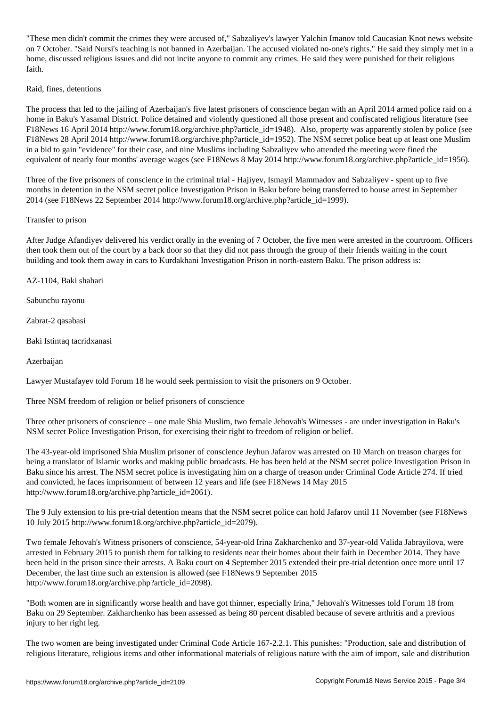"These men didn't commit the crimes they were accused of," Sabzaliyev's lawyer Yalchin Imanov told Caucasian Knot news website on 7 October. "Said Nursi's teaching is not banned in Azerbaijan. The accused violated no-one's rights." He said they simply met in a home, discussed religious issues and did not incite anyone to commit any crimes. He said they were punished for their religious faith.

## Raid, fines, detentions

The process that led to the jailing of Azerbaijan's five latest prisoners of conscience began with an April 2014 armed police raid on a home in Baku's Yasamal District. Police detained and violently questioned all those present and confiscated religious literature (see F18News 16 April 2014 http://www.forum18.org/archive.php?article\_id=1948). Also, property was apparently stolen by police (see F18News 28 April 2014 http://www.forum18.org/archive.php?article\_id=1952). The NSM secret police beat up at least one Muslim in a bid to gain "evidence" for their case, and nine Muslims including Sabzaliyev who attended the meeting were fined the equivalent of nearly four months' average wages (see F18News 8 May 2014 http://www.forum18.org/archive.php?article\_id=1956).

Three of the five prisoners of conscience in the criminal trial - Hajiyev, Ismayil Mammadov and Sabzaliyev - spent up to five months in detention in the NSM secret police Investigation Prison in Baku before being transferred to house arrest in September 2014 (see F18News 22 September 2014 http://www.forum18.org/archive.php?article\_id=1999).

Transfer to prison

After Judge Afandiyev delivered his verdict orally in the evening of 7 October, the five men were arrested in the courtroom. Officers then took them out of the court by a back door so that they did not pass through the group of their friends waiting in the court building and took them away in cars to Kurdakhani Investigation Prison in north-eastern Baku. The prison address is:

AZ-1104, Baki shahari

Sabunchu rayonu

Zabrat-2 qasabasi

Baki Istintaq tacridxanasi

Azerbaijan

Lawyer Mustafayev told Forum 18 he would seek permission to visit the prisoners on 9 October.

Three NSM freedom of religion or belief prisoners of conscience

Three other prisoners of conscience – one male Shia Muslim, two female Jehovah's Witnesses - are under investigation in Baku's NSM secret Police Investigation Prison, for exercising their right to freedom of religion or belief.

The 43-year-old imprisoned Shia Muslim prisoner of conscience Jeyhun Jafarov was arrested on 10 March on treason charges for being a translator of Islamic works and making public broadcasts. He has been held at the NSM secret police Investigation Prison in Baku since his arrest. The NSM secret police is investigating him on a charge of treason under Criminal Code Article 274. If tried and convicted, he faces imprisonment of between 12 years and life (see F18News 14 May 2015 http://www.forum18.org/archive.php?article\_id=2061).

The 9 July extension to his pre-trial detention means that the NSM secret police can hold Jafarov until 11 November (see F18News 10 July 2015 http://www.forum18.org/archive.php?article\_id=2079).

Two female Jehovah's Witness prisoners of conscience, 54-year-old Irina Zakharchenko and 37-year-old Valida Jabrayilova, were arrested in February 2015 to punish them for talking to residents near their homes about their faith in December 2014. They have been held in the prison since their arrests. A Baku court on 4 September 2015 extended their pre-trial detention once more until 17 December, the last time such an extension is allowed (see F18News 9 September 2015 http://www.forum18.org/archive.php?article\_id=2098).

"Both women are in significantly worse health and have got thinner, especially Irina," Jehovah's Witnesses told Forum 18 from Baku on 29 September. Zakharchenko has been assessed as being 80 percent disabled because of severe arthritis and a previous injury to her right leg.

The two women are being investigated under Criminal Code Article 167-2.2.1. This punishes: "Production, sale and distribution of religious literature, religious items and other informational materials of religious nature with the aim of import, sale and distribution